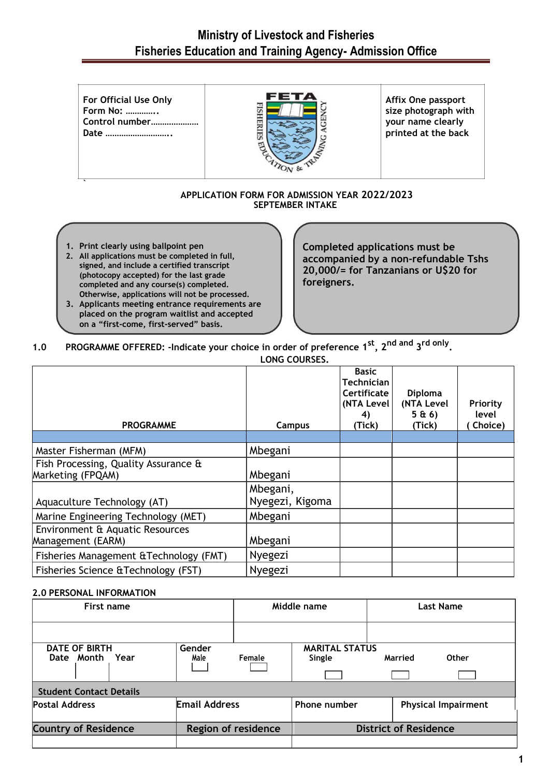# **Ministry of Livestock and Fisheries Fisheries Education and Training Agency- Admission Office**

**For Official Use Only Affix One passport Form No: ………….. size photograph with Control number………………… your name clearly Date …………………………**  $\sqrt{a_N}$  & **`**

#### **APPLICATION FORM FOR ADMISSION YEAR 2022/2023 SEPTEMBER INTAKE**

**1. Print clearly using ballpoint pen 2. All applications must be completed in full, signed, and include a certified transcript (photocopy accepted) for the last grade completed and any course(s) completed. Otherwise, applications will not be processed. 3. Applicants meeting entrance requirements are** 

**placed on the program waitlist and accepted on a "first-come, first-served" basis.**

**accompanied by a non-refundable Tshs 20,000/= for Tanzanians or U\$20 for foreigners.**

**Completed applications must be** 

# **1.0 PROGRAMME OFFERED: -Indicate your choice in order of preference 1 st, 2nd and 3 rd only .**

|                                                           | LONG COURSES.               |                                                                                       |                                                   |                              |
|-----------------------------------------------------------|-----------------------------|---------------------------------------------------------------------------------------|---------------------------------------------------|------------------------------|
| <b>PROGRAMME</b>                                          | Campus                      | <b>Basic</b><br><b>Technician</b><br><b>Certificate</b><br>(NTA Level<br>4)<br>(Tick) | <b>Diploma</b><br>(NTA Level<br>5 (t 6)<br>(Tick) | Priority<br>level<br>Choice) |
|                                                           |                             |                                                                                       |                                                   |                              |
| Master Fisherman (MFM)                                    | Mbegani                     |                                                                                       |                                                   |                              |
| Fish Processing, Quality Assurance &<br>Marketing (FPQAM) | Mbegani                     |                                                                                       |                                                   |                              |
| Aquaculture Technology (AT)                               | Mbegani,<br>Nyegezi, Kigoma |                                                                                       |                                                   |                              |
| Marine Engineering Technology (MET)                       | Mbegani                     |                                                                                       |                                                   |                              |
| Environment & Aquatic Resources<br>Management (EARM)      | Mbegani                     |                                                                                       |                                                   |                              |
| Fisheries Management & Technology (FMT)                   | Nyegezi                     |                                                                                       |                                                   |                              |
| Fisheries Science & Technology (FST)                      | Nyegezi                     |                                                                                       |                                                   |                              |

#### **2.0 PERSONAL INFORMATION**

| First name                     |                      |                            | Middle name           |                              | <b>Last Name</b>           |
|--------------------------------|----------------------|----------------------------|-----------------------|------------------------------|----------------------------|
|                                |                      |                            |                       |                              |                            |
| DATE OF BIRTH                  | Gender               |                            | <b>MARITAL STATUS</b> |                              |                            |
| Date Month Year                | Male                 | Female                     | Single                | Married                      | Other                      |
|                                |                      |                            |                       |                              |                            |
| <b>Student Contact Details</b> |                      |                            |                       |                              |                            |
| <b>Postal Address</b>          | <b>Email Address</b> |                            | Phone number          |                              | <b>Physical Impairment</b> |
| <b>Country of Residence</b>    |                      | <b>Region of residence</b> |                       | <b>District of Residence</b> |                            |
|                                |                      |                            |                       |                              |                            |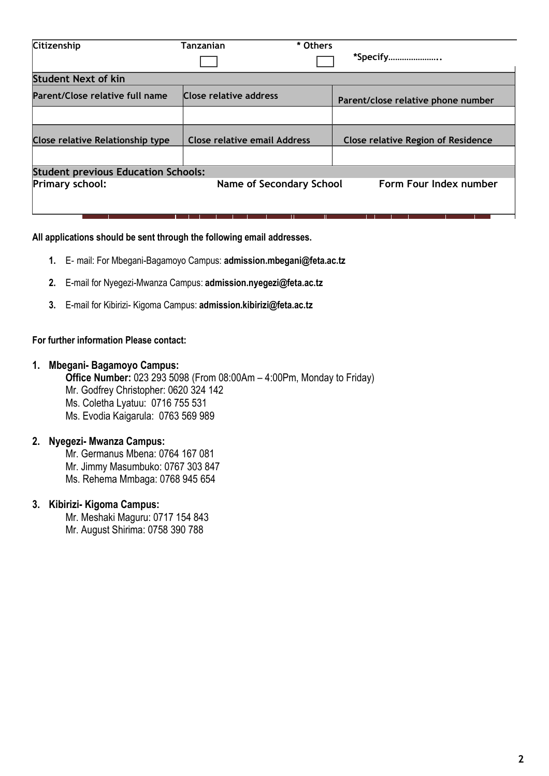| Citizenship                                | Tanzanian                           | * Others |                                           |  |  |  |
|--------------------------------------------|-------------------------------------|----------|-------------------------------------------|--|--|--|
|                                            |                                     |          | *Specify                                  |  |  |  |
| <b>Student Next of kin</b>                 |                                     |          |                                           |  |  |  |
| Parent/Close relative full name            | Close relative address              |          | Parent/close relative phone number        |  |  |  |
|                                            |                                     |          |                                           |  |  |  |
| <b>Close relative Relationship type</b>    | <b>Close relative email Address</b> |          | <b>Close relative Region of Residence</b> |  |  |  |
|                                            |                                     |          |                                           |  |  |  |
| <b>Student previous Education Schools:</b> |                                     |          |                                           |  |  |  |
| Primary school:                            | <b>Name of Secondary School</b>     |          | Form Four Index number                    |  |  |  |
|                                            |                                     |          |                                           |  |  |  |

**All applications should be sent through the following email addresses.**

- **1.** E‐ mail: For Mbegani-Bagamoyo Campus: **[admission.mbegani@feta.ac.tz](mailto:admission.mbegani@feta.ac.tz)**
- **2.** E-mail for Nyegezi-Mwanza Campus: **[admission.nyegezi@feta.ac.tz](mailto:admission.nyegezi@feta.ac.tz)**
- **3.** E-mail for Kibirizi- Kigoma Campus: **admission.kibirizi@feta.ac.tz**

### **For further information Please contact:**

#### **1. Mbegani- Bagamoyo Campus:**

**Office Number:** 023 293 5098 (From 08:00Am – 4:00Pm, Monday to Friday) Mr. Godfrey Christopher: 0620 324 142 Ms. Coletha Lyatuu: 0716 755 531 Ms. Evodia Kaigarula: 0763 569 989

## **2. Nyegezi- Mwanza Campus:**

Mr. Germanus Mbena: 0764 167 081 Mr. Jimmy Masumbuko: 0767 303 847 Ms. Rehema Mmbaga: 0768 945 654

### **3. Kibirizi- Kigoma Campus:**

Mr. Meshaki Maguru: 0717 154 843 Mr. August Shirima: 0758 390 788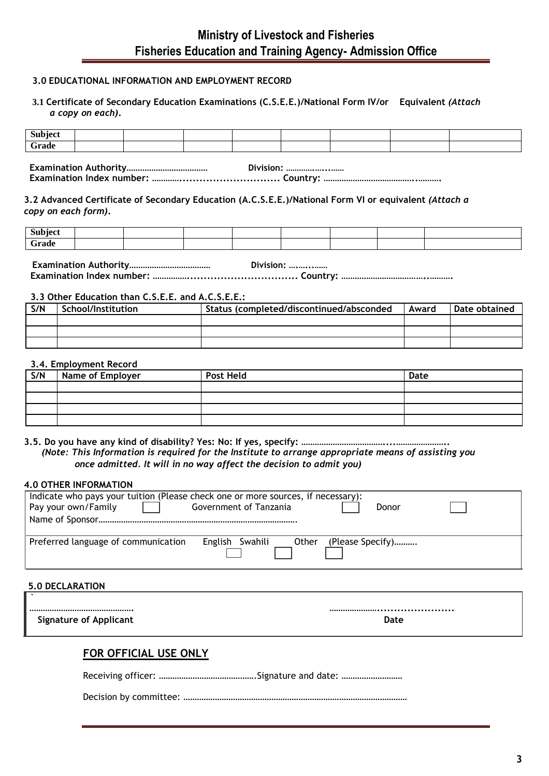### **3.0 EDUCATIONAL INFORMATION AND EMPLOYMENT RECORD**

**3.1 Certificate of Secondary Education Examinations (C.S.E.E.)/National Form IV/or Equivalent** *(Attach a copy on each)***.**

|                |  |  | Division: |  |  |
|----------------|--|--|-----------|--|--|
| Grade          |  |  |           |  |  |
| <b>Subject</b> |  |  |           |  |  |

**Examination Index number: ………….............................. Country: …………………………………..……….**

#### **3.2 Advanced Certificate of Secondary Education (A.C.S.E.E.)/National Form VI or equivalent** *(Attach a copy on each form)***.**

| $\sim$<br>subject |  |  |  |  |
|-------------------|--|--|--|--|
| Frade             |  |  |  |  |

**Examination Authority……………………………… Division: ….…...…… Examination Index number: ……………................................. Country: ………………………………..……….**

#### **3.3 Other Education than C.S.E.E. and A.C.S.E.E.:**

| S/N | School/Institution | Status (completed/discontinued/absconded | Award | Date obtained |
|-----|--------------------|------------------------------------------|-------|---------------|
|     |                    |                                          |       |               |
|     |                    |                                          |       |               |
|     |                    |                                          |       |               |

#### **3.4. Employment Record**

| S/N | <b>Name of Employer</b> | <b>Post Held</b> | Date |
|-----|-------------------------|------------------|------|
|     |                         |                  |      |
|     |                         |                  |      |
|     |                         |                  |      |
|     |                         |                  |      |

**3.5. Do you have any kind of disability? Yes: No: If yes, specify: ………………………………....…………………..** *(Note: This Information is required for the Institute to arrange appropriate means of assisting you once admitted. It will in no way affect the decision to admit you)*

#### **4.0 OTHER INFORMATION**

| Indicate who pays your tuition (Please check one or more sources, if necessary):<br>Pay your own/Family | Government of Tanzania   | Donor            |  |
|---------------------------------------------------------------------------------------------------------|--------------------------|------------------|--|
| Preferred language of communication                                                                     | English Swahili<br>Other | (Please Specify) |  |

#### **5.0 DECLARATION**

| Signature of Applicant | Date |
|------------------------|------|
|                        |      |

# **FOR OFFICIAL USE ONLY**

Receiving officer: …………………………………….Signature and date: ………………………

Decision by committee: ………………………………………………………………………………………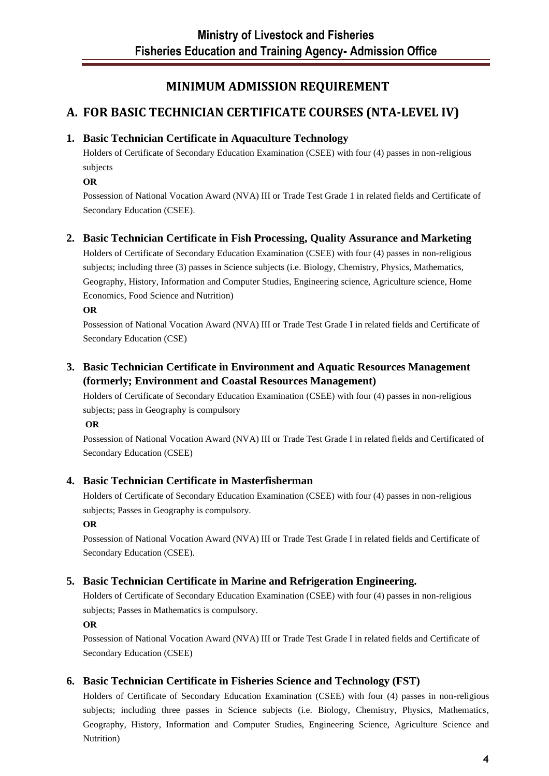# **MINIMUM ADMISSION REQUIREMENT**

# **A. FOR BASIC TECHNICIAN CERTIFICATE COURSES (NTA‐LEVEL IV)**

# **1. Basic Technician Certificate in Aquaculture Technology**

Holders of Certificate of Secondary Education Examination (CSEE) with four (4) passes in non-religious subjects

## **OR**

Possession of National Vocation Award (NVA) III or Trade Test Grade 1 in related fields and Certificate of Secondary Education (CSEE).

# **2. Basic Technician Certificate in Fish Processing, Quality Assurance and Marketing**

Holders of Certificate of Secondary Education Examination (CSEE) with four (4) passes in non-religious subjects; including three (3) passes in Science subjects (i.e. Biology, Chemistry, Physics, Mathematics, Geography, History, Information and Computer Studies, Engineering science, Agriculture science, Home Economics, Food Science and Nutrition)

### **OR**

Possession of National Vocation Award (NVA) III or Trade Test Grade I in related fields and Certificate of Secondary Education (CSE)

# **3. Basic Technician Certificate in Environment and Aquatic Resources Management (formerly; Environment and Coastal Resources Management)**

Holders of Certificate of Secondary Education Examination (CSEE) with four (4) passes in non-religious subjects; pass in Geography is compulsory

**OR** 

Possession of National Vocation Award (NVA) III or Trade Test Grade I in related fields and Certificated of Secondary Education (CSEE)

# **4. Basic Technician Certificate in Masterfisherman**

Holders of Certificate of Secondary Education Examination (CSEE) with four (4) passes in non-religious subjects; Passes in Geography is compulsory.

# **OR**

Possession of National Vocation Award (NVA) III or Trade Test Grade I in related fields and Certificate of Secondary Education (CSEE).

# **5. Basic Technician Certificate in Marine and Refrigeration Engineering.**

Holders of Certificate of Secondary Education Examination (CSEE) with four (4) passes in non-religious subjects; Passes in Mathematics is compulsory.

### **OR**

Possession of National Vocation Award (NVA) III or Trade Test Grade I in related fields and Certificate of Secondary Education (CSEE)

# **6. Basic Technician Certificate in Fisheries Science and Technology (FST)**

Holders of Certificate of Secondary Education Examination (CSEE) with four (4) passes in non-religious subjects; including three passes in Science subjects (i.e. Biology, Chemistry, Physics, Mathematics, Geography, History, Information and Computer Studies, Engineering Science, Agriculture Science and Nutrition)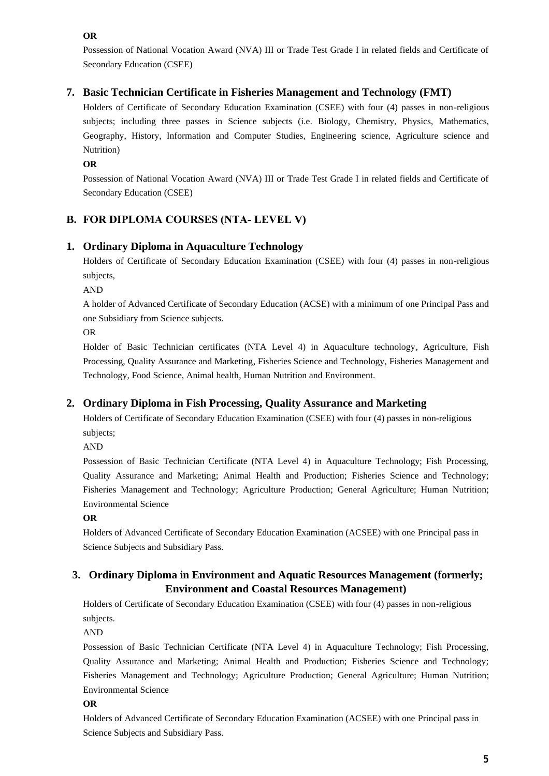**OR** 

Possession of National Vocation Award (NVA) III or Trade Test Grade I in related fields and Certificate of Secondary Education (CSEE)

## **7. Basic Technician Certificate in Fisheries Management and Technology (FMT)**

Holders of Certificate of Secondary Education Examination (CSEE) with four (4) passes in non-religious subjects; including three passes in Science subjects (i.e. Biology, Chemistry, Physics, Mathematics, Geography, History, Information and Computer Studies, Engineering science, Agriculture science and Nutrition)

**OR** 

Possession of National Vocation Award (NVA) III or Trade Test Grade I in related fields and Certificate of Secondary Education (CSEE)

# **B. FOR DIPLOMA COURSES (NTA‐ LEVEL V)**

## **1. Ordinary Diploma in Aquaculture Technology**

Holders of Certificate of Secondary Education Examination (CSEE) with four (4) passes in non-religious subjects,

AND

A holder of Advanced Certificate of Secondary Education (ACSE) with a minimum of one Principal Pass and one Subsidiary from Science subjects.

OR

Holder of Basic Technician certificates (NTA Level 4) in Aquaculture technology, Agriculture, Fish Processing, Quality Assurance and Marketing, Fisheries Science and Technology, Fisheries Management and Technology, Food Science, Animal health, Human Nutrition and Environment.

### **2. Ordinary Diploma in Fish Processing, Quality Assurance and Marketing**

Holders of Certificate of Secondary Education Examination (CSEE) with four (4) passes in non-religious subjects;

AND

Possession of Basic Technician Certificate (NTA Level 4) in Aquaculture Technology; Fish Processing, Quality Assurance and Marketing; Animal Health and Production; Fisheries Science and Technology; Fisheries Management and Technology; Agriculture Production; General Agriculture; Human Nutrition; Environmental Science

#### **OR**

Holders of Advanced Certificate of Secondary Education Examination (ACSEE) with one Principal pass in Science Subjects and Subsidiary Pass.

# **3. Ordinary Diploma in Environment and Aquatic Resources Management (formerly; Environment and Coastal Resources Management)**

Holders of Certificate of Secondary Education Examination (CSEE) with four (4) passes in non-religious subjects.

AND

Possession of Basic Technician Certificate (NTA Level 4) in Aquaculture Technology; Fish Processing, Quality Assurance and Marketing; Animal Health and Production; Fisheries Science and Technology; Fisheries Management and Technology; Agriculture Production; General Agriculture; Human Nutrition; Environmental Science

#### **OR**

Holders of Advanced Certificate of Secondary Education Examination (ACSEE) with one Principal pass in Science Subjects and Subsidiary Pass.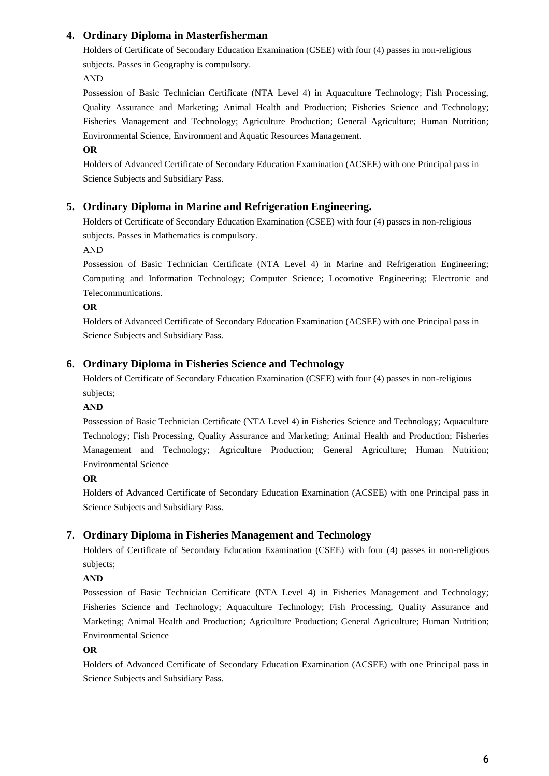## **4. Ordinary Diploma in Masterfisherman**

Holders of Certificate of Secondary Education Examination (CSEE) with four (4) passes in non-religious subjects. Passes in Geography is compulsory.

#### AND

Possession of Basic Technician Certificate (NTA Level 4) in Aquaculture Technology; Fish Processing, Quality Assurance and Marketing; Animal Health and Production; Fisheries Science and Technology; Fisheries Management and Technology; Agriculture Production; General Agriculture; Human Nutrition; Environmental Science, Environment and Aquatic Resources Management.

#### **OR**

Holders of Advanced Certificate of Secondary Education Examination (ACSEE) with one Principal pass in Science Subjects and Subsidiary Pass.

## **5. Ordinary Diploma in Marine and Refrigeration Engineering.**

Holders of Certificate of Secondary Education Examination (CSEE) with four (4) passes in non-religious subjects. Passes in Mathematics is compulsory.

AND

Possession of Basic Technician Certificate (NTA Level 4) in Marine and Refrigeration Engineering; Computing and Information Technology; Computer Science; Locomotive Engineering; Electronic and Telecommunications.

#### **OR**

Holders of Advanced Certificate of Secondary Education Examination (ACSEE) with one Principal pass in Science Subjects and Subsidiary Pass.

## **6. Ordinary Diploma in Fisheries Science and Technology**

Holders of Certificate of Secondary Education Examination (CSEE) with four (4) passes in non-religious subjects;

#### **AND**

Possession of Basic Technician Certificate (NTA Level 4) in Fisheries Science and Technology; Aquaculture Technology; Fish Processing, Quality Assurance and Marketing; Animal Health and Production; Fisheries Management and Technology; Agriculture Production; General Agriculture; Human Nutrition; Environmental Science

### **OR**

Holders of Advanced Certificate of Secondary Education Examination (ACSEE) with one Principal pass in Science Subjects and Subsidiary Pass.

### **7. Ordinary Diploma in Fisheries Management and Technology**

Holders of Certificate of Secondary Education Examination (CSEE) with four (4) passes in non-religious subjects;

### **AND**

Possession of Basic Technician Certificate (NTA Level 4) in Fisheries Management and Technology; Fisheries Science and Technology; Aquaculture Technology; Fish Processing, Quality Assurance and Marketing; Animal Health and Production; Agriculture Production; General Agriculture; Human Nutrition; Environmental Science

#### **OR**

Holders of Advanced Certificate of Secondary Education Examination (ACSEE) with one Principal pass in Science Subjects and Subsidiary Pass.